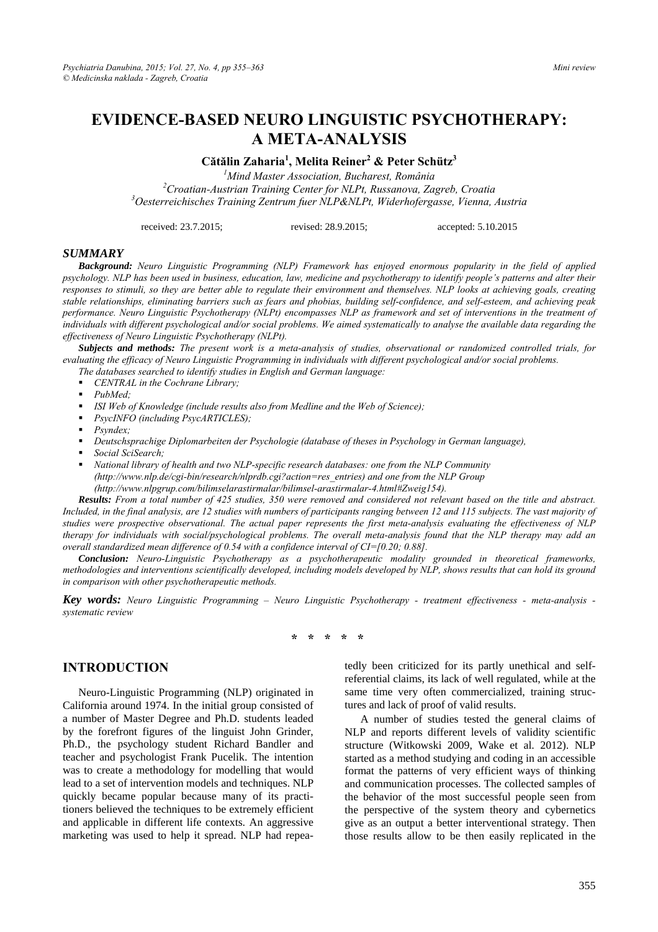# **EVIDENCE-BASED NEURO LINGUISTIC PSYCHOTHERAPY: A META-ANALYSIS**

**Cătălin Zaharia<sup>1</sup> , Melita Reiner2 & Peter Schütz3**

*1 Mind Master Association, Bucharest, România 2* <sup>2</sup> Croatian-Austrian Training Center for NLPt, Russanova, Zagreb, Croatia *Oesterreichisches Training Zentrum fuer NLP&NLPt, Widerhofergasse, Vienna, Austria* 

received: 23.7.2015; revised: 28.9.2015; accepted: 5.10.2015

#### *SUMMARY*

*Background: Neuro Linguistic Programming (NLP) Framework has enjoyed enormous popularity in the field of applied psychology. NLP has been used in business, education, law, medicine and psychotherapy to identify people's patterns and alter their responses to stimuli, so they are better able to regulate their environment and themselves. NLP looks at achieving goals, creating stable relationships, eliminating barriers such as fears and phobias, building self-confidence, and self-esteem, and achieving peak performance. Neuro Linguistic Psychotherapy (NLPt) encompasses NLP as framework and set of interventions in the treatment of individuals with different psychological and/or social problems. We aimed systematically to analyse the available data regarding the effectiveness of Neuro Linguistic Psychotherapy (NLPt).* 

*Subjects and methods: The present work is a meta-analysis of studies, observational or randomized controlled trials, for evaluating the efficacy of Neuro Linguistic Programming in individuals with different psychological and/or social problems.* 

*The databases searched to identify studies in English and German language:* 

- *CENTRAL in the Cochrane Library;*
- *PubMed;*
- *ISI Web of Knowledge (include results also from Medline and the Web of Science);*
- *PsycINFO (including PsycARTICLES);*
- *Psyndex;*
- *Deutschsprachige Diplomarbeiten der Psychologie (database of theses in Psychology in German language),*
- *Social SciSearch;*
- *National library of health and two NLP-specific research databases: one from the NLP Community (http://www.nlp.de/cgi-bin/research/nlprdb.cgi?action=res\_entries) and one from the NLP Group (http://www.nlpgrup.com/bilimselarastirmalar/bilimsel-arastirmalar-4.html#Zweig154).*

*Results: From a total number of 425 studies, 350 were removed and considered not relevant based on the title and abstract. Included, in the final analysis, are 12 studies with numbers of participants ranging between 12 and 115 subjects. The vast majority of studies were prospective observational. The actual paper represents the first meta-analysis evaluating the effectiveness of NLP therapy for individuals with social/psychological problems. The overall meta-analysis found that the NLP therapy may add an overall standardized mean difference of 0.54 with a confidence interval of CI=[0.20; 0.88].* 

*Conclusion: Neuro-Linguistic Psychotherapy as a psychotherapeutic modality grounded in theoretical frameworks, methodologies and interventions scientifically developed, including models developed by NLP, shows results that can hold its ground in comparison with other psychotherapeutic methods.* 

*Key words: Neuro Linguistic Programming – Neuro Linguistic Psychotherapy - treatment effectiveness - meta-analysis systematic review* 

**\* \* \* \* \*** 

#### **INTRODUCTION**

Neuro-Linguistic Programming (NLP) originated in California around 1974. In the initial group consisted of a number of Master Degree and Ph.D. students leaded by the forefront figures of the linguist John Grinder, Ph.D., the psychology student Richard Bandler and teacher and psychologist Frank Pucelik. The intention was to create a methodology for modelling that would lead to a set of intervention models and techniques. NLP quickly became popular because many of its practitioners believed the techniques to be extremely efficient and applicable in different life contexts. An aggressive marketing was used to help it spread. NLP had repeatedly been criticized for its partly unethical and selfreferential claims, its lack of well regulated, while at the same time very often commercialized, training structures and lack of proof of valid results.

A number of studies tested the general claims of NLP and reports different levels of validity scientific structure (Witkowski 2009, Wake et al. 2012). NLP started as a method studying and coding in an accessible format the patterns of very efficient ways of thinking and communication processes. The collected samples of the behavior of the most successful people seen from the perspective of the system theory and cybernetics give as an output a better interventional strategy. Then those results allow to be then easily replicated in the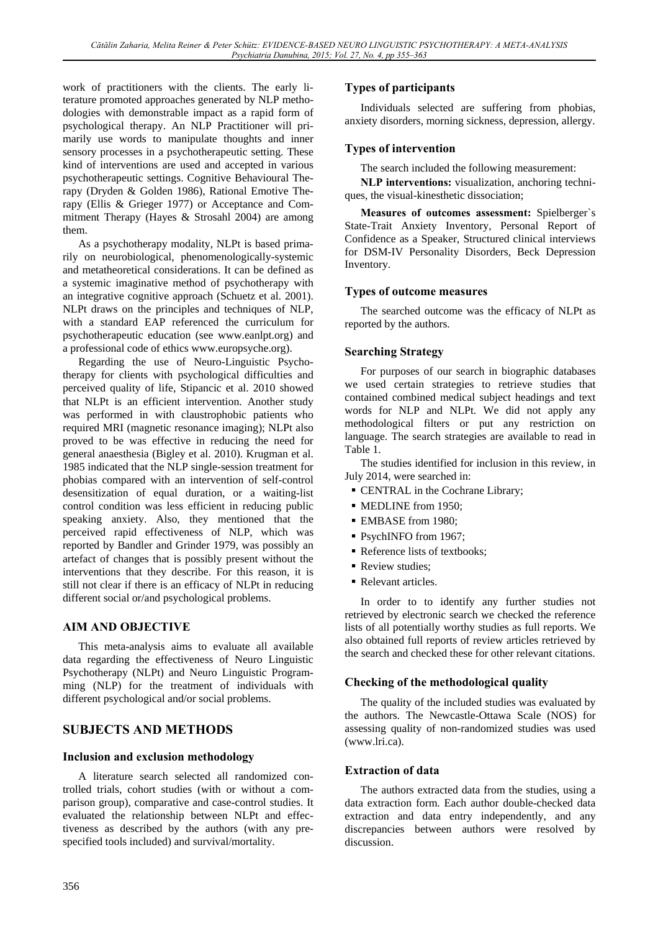work of practitioners with the clients. The early literature promoted approaches generated by NLP methodologies with demonstrable impact as a rapid form of psychological therapy. An NLP Practitioner will primarily use words to manipulate thoughts and inner sensory processes in a psychotherapeutic setting. These kind of interventions are used and accepted in various psychotherapeutic settings. Cognitive Behavioural Therapy (Dryden & Golden 1986), Rational Emotive Therapy (Ellis & Grieger 1977) or Acceptance and Commitment Therapy (Hayes & Strosahl 2004) are among them.

As a psychotherapy modality, NLPt is based primarily on neurobiological, phenomenologically-systemic and metatheoretical considerations. It can be defined as a systemic imaginative method of psychotherapy with an integrative cognitive approach (Schuetz et al. 2001). NLPt draws on the principles and techniques of NLP, with a standard EAP referenced the curriculum for psychotherapeutic education (see www.eanlpt.org) and a professional code of ethics www.europsyche.org).

Regarding the use of Neuro-Linguistic Psychotherapy for clients with psychological difficulties and perceived quality of life, Stipancic et al. 2010 showed that NLPt is an efficient intervention. Another study was performed in with claustrophobic patients who required MRI (magnetic resonance imaging); NLPt also proved to be was effective in reducing the need for general anaesthesia (Bigley et al. 2010). Krugman et al. 1985 indicated that the NLP single-session treatment for phobias compared with an intervention of self-control desensitization of equal duration, or a waiting-list control condition was less efficient in reducing public speaking anxiety. Also, they mentioned that the perceived rapid effectiveness of NLP, which was reported by Bandler and Grinder 1979, was possibly an artefact of changes that is possibly present without the interventions that they describe. For this reason, it is still not clear if there is an efficacy of NLPt in reducing different social or/and psychological problems.

### **AIM AND OBJECTIVE**

This meta-analysis aims to evaluate all available data regarding the effectiveness of Neuro Linguistic Psychotherapy (NLPt) and Neuro Linguistic Programming (NLP) for the treatment of individuals with different psychological and/or social problems.

### **SUBJECTS AND METHODS**

#### **Inclusion and exclusion methodology**

A literature search selected all randomized controlled trials, cohort studies (with or without a comparison group), comparative and case-control studies. It evaluated the relationship between NLPt and effectiveness as described by the authors (with any prespecified tools included) and survival/mortality.

#### **Types of participants**

Individuals selected are suffering from phobias, anxiety disorders, morning sickness, depression, allergy.

#### **Types of intervention**

The search included the following measurement:

**NLP interventions:** visualization, anchoring techniques, the visual-kinesthetic dissociation;

**Measures of outcomes assessment:** Spielberger`s State-Trait Anxiety Inventory, Personal Report of Confidence as a Speaker, Structured clinical interviews for DSM-IV Personality Disorders, Beck Depression Inventory.

#### **Types of outcome measures**

The searched outcome was the efficacy of NLPt as reported by the authors.

#### **Searching Strategy**

For purposes of our search in biographic databases we used certain strategies to retrieve studies that contained combined medical subject headings and text words for NLP and NLPt. We did not apply any methodological filters or put any restriction on language. The search strategies are available to read in Table 1.

The studies identified for inclusion in this review, in July 2014, were searched in:

- CENTRAL in the Cochrane Library;
- MEDLINE from 1950;
- **EMBASE** from 1980:
- PsychINFO from 1967;
- Reference lists of textbooks;
- Review studies:
- Relevant articles.

In order to to identify any further studies not retrieved by electronic search we checked the reference lists of all potentially worthy studies as full reports. We also obtained full reports of review articles retrieved by the search and checked these for other relevant citations.

#### **Checking of the methodological quality**

The quality of the included studies was evaluated by the authors. The Newcastle-Ottawa Scale (NOS) for assessing quality of non-randomized studies was used (www.lri.ca).

#### **Extraction of data**

The authors extracted data from the studies, using a data extraction form. Each author double-checked data extraction and data entry independently, and any discrepancies between authors were resolved by discussion.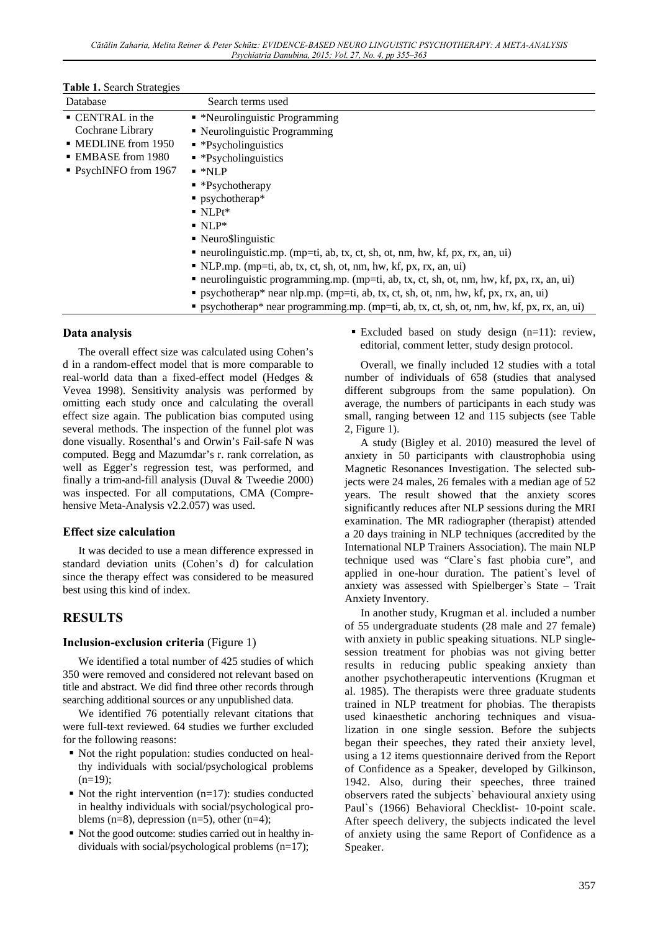| Table 1. Search Strategies |  |
|----------------------------|--|
|----------------------------|--|

| <b>raphe is peared publicates</b>                                                                                       |                                                                                                                                                                                                                                                                                                                                                                                                                                                                                                                                                                                                                                                                                                                                                       |
|-------------------------------------------------------------------------------------------------------------------------|-------------------------------------------------------------------------------------------------------------------------------------------------------------------------------------------------------------------------------------------------------------------------------------------------------------------------------------------------------------------------------------------------------------------------------------------------------------------------------------------------------------------------------------------------------------------------------------------------------------------------------------------------------------------------------------------------------------------------------------------------------|
| Database                                                                                                                | Search terms used                                                                                                                                                                                                                                                                                                                                                                                                                                                                                                                                                                                                                                                                                                                                     |
| • CENTRAL in the<br>Cochrane Library<br>$\blacksquare$ MEDLINE from 1950<br>• EMBASE from 1980<br>• PsychINFO from 1967 | • *Neurolinguistic Programming<br>• Neurolinguistic Programming<br>$\blacksquare$ *Psycholinguistics<br>$\bullet$ *Psycholinguistics<br>$\blacksquare$ *NLP<br>$\bullet$ *Psychotherapy<br>$\blacksquare$ psychotherap*<br>$\blacksquare$ NLPt*<br>$\blacksquare$ NLP*<br>• Neuro\$linguistic<br>• neurolinguistic.mp. (mp=ti, ab, tx, ct, sh, ot, nm, hw, kf, px, rx, an, ui)<br>$\blacksquare$ NLP.mp. (mp=ti, ab, tx, ct, sh, ot, nm, hw, kf, px, rx, an, ui)<br>• neurolinguistic programming mp. (mp=ti, ab, tx, ct, sh, ot, nm, hw, kf, px, rx, an, ui)<br>" psychotherap* near nlp.mp. (mp=ti, ab, tx, ct, sh, ot, nm, hw, kf, px, rx, an, ui)<br>" psychotherap* near programming.mp. (mp=ti, ab, tx, ct, sh, ot, nm, hw, kf, px, rx, an, ui) |
|                                                                                                                         |                                                                                                                                                                                                                                                                                                                                                                                                                                                                                                                                                                                                                                                                                                                                                       |

#### **Data analysis**

The overall effect size was calculated using Cohen's d in a random-effect model that is more comparable to real-world data than a fixed-effect model (Hedges & Vevea 1998). Sensitivity analysis was performed by omitting each study once and calculating the overall effect size again. The publication bias computed using several methods. The inspection of the funnel plot was done visually. Rosenthal's and Orwin's Fail-safe N was computed. Begg and Mazumdar's r. rank correlation, as well as Egger's regression test, was performed, and finally a trim-and-fill analysis (Duval & Tweedie 2000) was inspected. For all computations, CMA (Comprehensive Meta-Analysis v2.2.057) was used.

#### **Effect size calculation**

It was decided to use a mean difference expressed in standard deviation units (Cohen's d) for calculation since the therapy effect was considered to be measured best using this kind of index.

### **RESULTS**

#### **Inclusion-exclusion criteria** (Figure 1)

We identified a total number of 425 studies of which 350 were removed and considered not relevant based on title and abstract. We did find three other records through searching additional sources or any unpublished data.

We identified 76 potentially relevant citations that were full-text reviewed. 64 studies we further excluded for the following reasons:

- Not the right population: studies conducted on healthy individuals with social/psychological problems  $(n=19);$
- Not the right intervention  $(n=17)$ : studies conducted in healthy individuals with social/psychological problems (n=8), depression (n=5), other (n=4);
- Not the good outcome: studies carried out in healthy individuals with social/psychological problems (n=17);

 Excluded based on study design (n=11): review, editorial, comment letter, study design protocol.

Overall, we finally included 12 studies with a total number of individuals of 658 (studies that analysed different subgroups from the same population). On average, the numbers of participants in each study was small, ranging between 12 and 115 subjects (see Table 2, Figure 1).

A study (Bigley et al. 2010) measured the level of anxiety in 50 participants with claustrophobia using Magnetic Resonances Investigation. The selected subjects were 24 males, 26 females with a median age of 52 years. The result showed that the anxiety scores significantly reduces after NLP sessions during the MRI examination. The MR radiographer (therapist) attended a 20 days training in NLP techniques (accredited by the International NLP Trainers Association). The main NLP technique used was "Clare`s fast phobia cure", and applied in one-hour duration. The patient`s level of anxiety was assessed with Spielberger`s State – Trait Anxiety Inventory.

In another study, Krugman et al. included a number of 55 undergraduate students (28 male and 27 female) with anxiety in public speaking situations. NLP singlesession treatment for phobias was not giving better results in reducing public speaking anxiety than another psychotherapeutic interventions (Krugman et al. 1985). The therapists were three graduate students trained in NLP treatment for phobias. The therapists used kinaesthetic anchoring techniques and visualization in one single session. Before the subjects began their speeches, they rated their anxiety level, using a 12 items questionnaire derived from the Report of Confidence as a Speaker, developed by Gilkinson, 1942. Also, during their speeches, three trained observers rated the subjects` behavioural anxiety using Paul's (1966) Behavioral Checklist- 10-point scale. After speech delivery, the subjects indicated the level of anxiety using the same Report of Confidence as a Speaker.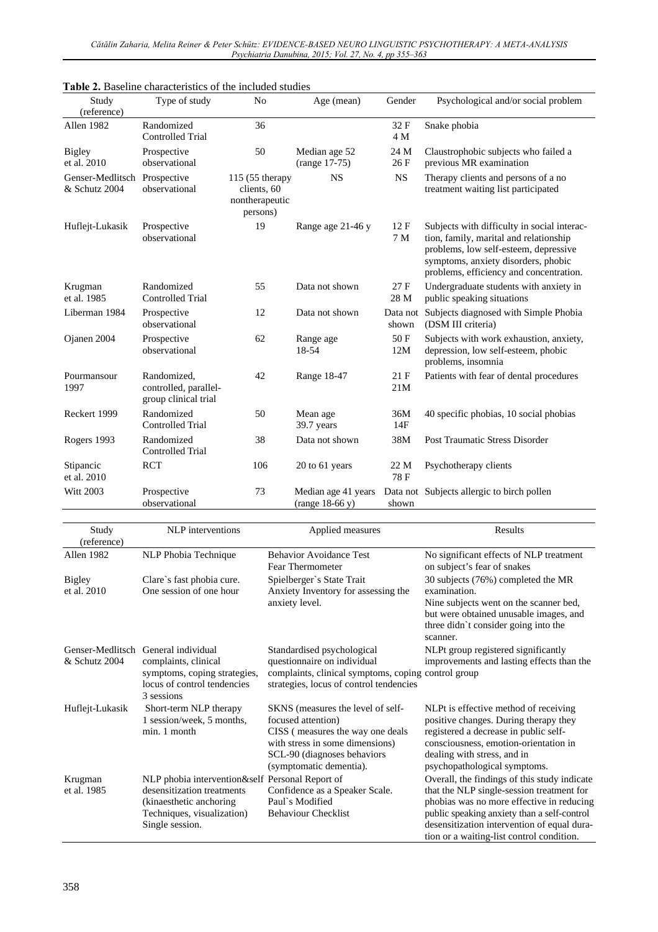| Study<br>(reference)                          | Type of study                                                | N <sub>0</sub>                                               | Age (mean)                               | Gender            | Psychological and/or social problem                                                                                                                                                                              |
|-----------------------------------------------|--------------------------------------------------------------|--------------------------------------------------------------|------------------------------------------|-------------------|------------------------------------------------------------------------------------------------------------------------------------------------------------------------------------------------------------------|
| Allen 1982                                    | Randomized<br><b>Controlled Trial</b>                        | 36                                                           |                                          | 32 F<br>4 M       | Snake phobia                                                                                                                                                                                                     |
| <b>Bigley</b><br>et al. 2010                  | Prospective<br>observational                                 | 50                                                           | Median age 52<br>(range 17-75)           | 24 M<br>26 F      | Claustrophobic subjects who failed a<br>previous MR examination                                                                                                                                                  |
| Genser-Medlitsch Prospective<br>& Schutz 2004 | observational                                                | 115 (55 therapy<br>clients, 60<br>nontherapeutic<br>persons) | <b>NS</b>                                | <b>NS</b>         | Therapy clients and persons of a no<br>treatment waiting list participated                                                                                                                                       |
| Huflejt-Lukasik                               | Prospective<br>observational                                 | 19                                                           | Range age 21-46 y                        | 12 F<br>7 M       | Subjects with difficulty in social interac-<br>tion, family, marital and relationship<br>problems, low self-esteem, depressive<br>symptoms, anxiety disorders, phobic<br>problems, efficiency and concentration. |
| Krugman<br>et al. 1985                        | Randomized<br><b>Controlled Trial</b>                        | 55                                                           | Data not shown                           | 27 F<br>28 M      | Undergraduate students with anxiety in<br>public speaking situations                                                                                                                                             |
| Liberman 1984                                 | Prospective<br>observational                                 | 12                                                           | Data not shown                           | Data not<br>shown | Subjects diagnosed with Simple Phobia<br>(DSM III criteria)                                                                                                                                                      |
| Ojanen 2004                                   | Prospective<br>observational                                 | 62                                                           | Range age<br>18-54                       | 50 F<br>12M       | Subjects with work exhaustion, anxiety,<br>depression, low self-esteem, phobic<br>problems, insomnia                                                                                                             |
| Pourmansour<br>1997                           | Randomized,<br>controlled, parallel-<br>group clinical trial | 42                                                           | Range 18-47                              | 21 F<br>21M       | Patients with fear of dental procedures                                                                                                                                                                          |
| Reckert 1999                                  | Randomized<br><b>Controlled Trial</b>                        | 50                                                           | Mean age<br>39.7 years                   | 36M<br>14F        | 40 specific phobias, 10 social phobias                                                                                                                                                                           |
| Rogers 1993                                   | Randomized<br><b>Controlled Trial</b>                        | 38                                                           | Data not shown                           | 38M               | Post Traumatic Stress Disorder                                                                                                                                                                                   |
| Stipancic<br>et al. 2010                      | <b>RCT</b>                                                   | 106                                                          | 20 to 61 years                           | 22 M<br>78 F      | Psychotherapy clients                                                                                                                                                                                            |
| <b>Witt 2003</b>                              | Prospective<br>observational                                 | 73                                                           | Median age 41 years<br>$(range 18-66 y)$ | Data not<br>shown | Subjects allergic to birch pollen                                                                                                                                                                                |

| Table 2. Baseline characteristics of the included studies |  |  |  |  |
|-----------------------------------------------------------|--|--|--|--|
|-----------------------------------------------------------|--|--|--|--|

| Study<br>(reference)         | NLP interventions                                                                                                                                         | Applied measures                                                                                                                                                                         | Results                                                                                                                                                                                                                                                                           |
|------------------------------|-----------------------------------------------------------------------------------------------------------------------------------------------------------|------------------------------------------------------------------------------------------------------------------------------------------------------------------------------------------|-----------------------------------------------------------------------------------------------------------------------------------------------------------------------------------------------------------------------------------------------------------------------------------|
| Allen 1982                   | NLP Phobia Technique                                                                                                                                      | <b>Behavior Avoidance Test</b><br>Fear Thermometer                                                                                                                                       | No significant effects of NLP treatment<br>on subject's fear of snakes                                                                                                                                                                                                            |
| <b>Bigley</b><br>et al. 2010 | Clare's fast phobia cure.<br>One session of one hour                                                                                                      | Spielberger's State Trait<br>Anxiety Inventory for assessing the                                                                                                                         | 30 subjects (76%) completed the MR<br>examination.                                                                                                                                                                                                                                |
|                              |                                                                                                                                                           | anxiety level.                                                                                                                                                                           | Nine subjects went on the scanner bed,<br>but were obtained unusable images, and<br>three didn't consider going into the<br>scanner.                                                                                                                                              |
| & Schutz 2004                | Genser-Medlitsch General individual<br>complaints, clinical<br>symptoms, coping strategies,<br>locus of control tendencies<br>3 sessions                  | Standardised psychological<br>questionnaire on individual<br>complaints, clinical symptoms, coping control group<br>strategies, locus of control tendencies                              | NLPt group registered significantly<br>improvements and lasting effects than the                                                                                                                                                                                                  |
| Huflejt-Lukasik              | Short-term NLP therapy<br>1 session/week, 5 months,<br>min. 1 month                                                                                       | SKNS (measures the level of self-<br>focused attention)<br>CISS (measures the way one deals<br>with stress in some dimensions)<br>SCL-90 (diagnoses behaviors<br>(symptomatic dementia). | NLPt is effective method of receiving<br>positive changes. During therapy they<br>registered a decrease in public self-<br>consciousness, emotion-orientation in<br>dealing with stress, and in<br>psychopathological symptoms.                                                   |
| Krugman<br>et al. 1985       | NLP phobia intervention&self Personal Report of<br>desensitization treatments<br>(kinaesthetic anchoring<br>Techniques, visualization)<br>Single session. | Confidence as a Speaker Scale.<br>Paul's Modified<br><b>Behaviour Checklist</b>                                                                                                          | Overall, the findings of this study indicate<br>that the NLP single-session treatment for<br>phobias was no more effective in reducing<br>public speaking anxiety than a self-control<br>desensitization intervention of equal dura-<br>tion or a waiting-list control condition. |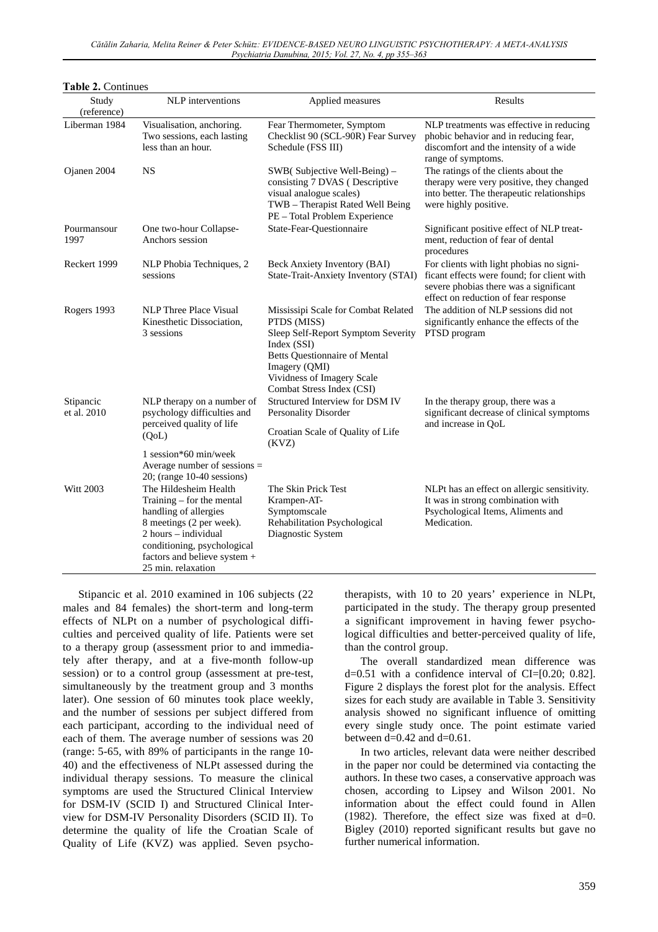| Study                    | NLP interventions                                                                                                                                                                                                      | Applied measures                                                                                                                                                                                                            | Results                                                                                                                                                                  |
|--------------------------|------------------------------------------------------------------------------------------------------------------------------------------------------------------------------------------------------------------------|-----------------------------------------------------------------------------------------------------------------------------------------------------------------------------------------------------------------------------|--------------------------------------------------------------------------------------------------------------------------------------------------------------------------|
| (reference)              |                                                                                                                                                                                                                        |                                                                                                                                                                                                                             |                                                                                                                                                                          |
| Liberman 1984            | Visualisation, anchoring.<br>Two sessions, each lasting<br>less than an hour.                                                                                                                                          | Fear Thermometer, Symptom<br>Checklist 90 (SCL-90R) Fear Survey<br>Schedule (FSS III)                                                                                                                                       | NLP treatments was effective in reducing<br>phobic behavior and in reducing fear,<br>discomfort and the intensity of a wide<br>range of symptoms.                        |
| Ojanen 2004              | <b>NS</b>                                                                                                                                                                                                              | SWB(Subjective Well-Being) -<br>consisting 7 DVAS (Descriptive<br>visual analogue scales)<br>TWB - Therapist Rated Well Being<br>PE - Total Problem Experience                                                              | The ratings of the clients about the<br>therapy were very positive, they changed<br>into better. The therapeutic relationships<br>were highly positive.                  |
| Pourmansour<br>1997      | One two-hour Collapse-<br>Anchors session                                                                                                                                                                              | State-Fear-Questionnaire                                                                                                                                                                                                    | Significant positive effect of NLP treat-<br>ment, reduction of fear of dental<br>procedures                                                                             |
| Reckert 1999             | NLP Phobia Techniques, 2<br>sessions                                                                                                                                                                                   | Beck Anxiety Inventory (BAI)<br>State-Trait-Anxiety Inventory (STAI)                                                                                                                                                        | For clients with light phobias no signi-<br>ficant effects were found; for client with<br>severe phobias there was a significant<br>effect on reduction of fear response |
| Rogers 1993              | <b>NLP</b> Three Place Visual<br>Kinesthetic Dissociation,<br>3 sessions                                                                                                                                               | Mississipi Scale for Combat Related<br>PTDS (MISS)<br>Sleep Self-Report Symptom Severity<br>Index (SSI)<br><b>Betts Questionnaire of Mental</b><br>Imagery (QMI)<br>Vividness of Imagery Scale<br>Combat Stress Index (CSI) | The addition of NLP sessions did not<br>significantly enhance the effects of the<br>PTSD program                                                                         |
| Stipancic<br>et al. 2010 | NLP therapy on a number of<br>psychology difficulties and<br>perceived quality of life<br>(QoL)                                                                                                                        | Structured Interview for DSM IV<br>Personality Disorder<br>Croatian Scale of Quality of Life                                                                                                                                | In the therapy group, there was a<br>significant decrease of clinical symptoms<br>and increase in QoL                                                                    |
|                          | 1 session*60 min/week<br>Average number of sessions $=$<br>$20$ ; (range 10-40 sessions)                                                                                                                               | (KVZ)                                                                                                                                                                                                                       |                                                                                                                                                                          |
| <b>Witt 2003</b>         | The Hildesheim Health<br>Training $-$ for the mental<br>handling of allergies<br>8 meetings (2 per week).<br>2 hours - individual<br>conditioning, psychological<br>factors and believe system +<br>25 min. relaxation | The Skin Prick Test<br>Krampen-AT-<br>Symptomscale<br>Rehabilitation Psychological<br>Diagnostic System                                                                                                                     | NLPt has an effect on allergic sensitivity.<br>It was in strong combination with<br>Psychological Items, Aliments and<br>Medication.                                     |

Stipancic et al. 2010 examined in 106 subjects (22 males and 84 females) the short-term and long-term effects of NLPt on a number of psychological difficulties and perceived quality of life. Patients were set to a therapy group (assessment prior to and immediately after therapy, and at a five-month follow-up session) or to a control group (assessment at pre-test, simultaneously by the treatment group and 3 months later). One session of 60 minutes took place weekly, and the number of sessions per subject differed from each participant, according to the individual need of each of them. The average number of sessions was 20 (range: 5-65, with 89% of participants in the range 10- 40) and the effectiveness of NLPt assessed during the individual therapy sessions. To measure the clinical symptoms are used the Structured Clinical Interview for DSM-IV (SCID I) and Structured Clinical Interview for DSM-IV Personality Disorders (SCID II). To determine the quality of life the Croatian Scale of Quality of Life (KVZ) was applied. Seven psycho-

**Table 2.** Continues

therapists, with 10 to 20 years' experience in NLPt, participated in the study. The therapy group presented a significant improvement in having fewer psychological difficulties and better-perceived quality of life, than the control group.

The overall standardized mean difference was  $d=0.51$  with a confidence interval of CI=[0.20; 0.82]. Figure 2 displays the forest plot for the analysis. Effect sizes for each study are available in Table 3. Sensitivity analysis showed no significant influence of omitting every single study once. The point estimate varied between  $d=0.42$  and  $d=0.61$ .

In two articles, relevant data were neither described in the paper nor could be determined via contacting the authors. In these two cases, a conservative approach was chosen, according to Lipsey and Wilson 2001. No information about the effect could found in Allen (1982). Therefore, the effect size was fixed at  $d=0$ . Bigley (2010) reported significant results but gave no further numerical information.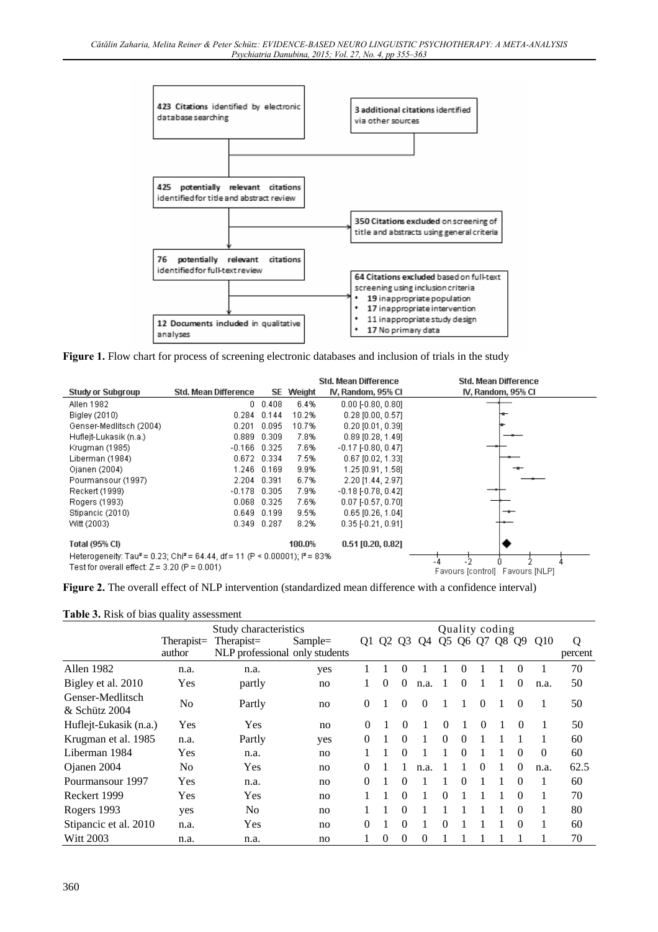

Figure 1. Flow chart for process of screening electronic databases and inclusion of trials in the study

|                                                                                                     |                             |                |        | Std. Mean Difference      | Std. Mean Difference            |
|-----------------------------------------------------------------------------------------------------|-----------------------------|----------------|--------|---------------------------|---------------------------------|
| <b>Study or Subgroup</b>                                                                            | <b>Std. Mean Difference</b> | SE.            | Weight | IV, Random, 95% CI        | IV, Random, 95% CI              |
| Allen 1982                                                                                          |                             | $0\quad 0.408$ | 6.4%   | $0.00$ [-0.80, 0.80]      |                                 |
| Bigley (2010)                                                                                       | 0.284                       | 0.144          | 10.2%  | $0.28$ [0.00, 0.57]       |                                 |
| Genser-Medlitsch (2004)                                                                             | 0.201                       | 0.095          | 10.7%  | $0.20$ [0.01, 0.39]       |                                 |
| Hufleit-Lukasik (n.a.)                                                                              | 0.889                       | 0.309          | 7.8%   | $0.89$ [0.28, 1.49]       |                                 |
| Krugman (1985)                                                                                      | $-0.166$                    | 0.325          | 7.6%   | $-0.17$ [ $-0.80, 0.47$ ] |                                 |
| Liberman (1984)                                                                                     |                             | 0.672 0.334    | 7.5%   | $0.67$ [0.02, 1.33]       |                                 |
| Ojanen (2004)                                                                                       | 1.246                       | 0.169          | 9.9%   | 1.25 [0.91, 1.58]         |                                 |
| Pourmansour (1997)                                                                                  | 2.204                       | 0.391          | 6.7%   | 2.20 [1.44, 2.97]         |                                 |
| Reckert (1999)                                                                                      | $-0.178$                    | 0.305          | 7.9%   | $-0.18$ $[-0.78, 0.42]$   |                                 |
| Rogers (1993)                                                                                       | 0.068                       | 0.325          | 7.6%   | $0.07$ [-0.57, 0.70]      |                                 |
| Stipancic (2010)                                                                                    | 0.649                       | 0.199          | 9.5%   | $0.65$ [0.26, 1.04]       |                                 |
| Witt (2003)                                                                                         | 0.349                       | 0.287          | 8.2%   | $0.35$ FO.21, 0.911       |                                 |
| Total (95% CI)                                                                                      |                             |                | 100.0% | $0.51$ [0.20, 0.82]       |                                 |
| Heterogeneity: Tau <sup>2</sup> = 0.23; Chi <sup>2</sup> = 64.44, df = 11 (P < 0.00001); $P = 83\%$ |                             |                |        |                           |                                 |
| Test for overall effect: $Z = 3.20$ (P = 0.001)                                                     |                             |                |        |                           | Favours [control] Favours [NLP] |

**Figure 2.** The overall effect of NLP intervention (standardized mean difference with a confidence interval)

| Table 3. Risk of bias quality assessment |  |
|------------------------------------------|--|
|------------------------------------------|--|

|                                   | Study characteristics |            |                                |          | <b>Ouality coding</b> |                |          |          |          |          |    |                |          |         |
|-----------------------------------|-----------------------|------------|--------------------------------|----------|-----------------------|----------------|----------|----------|----------|----------|----|----------------|----------|---------|
|                                   | $Therapist =$         | Therapist= | $Sample =$                     | Q1       | Q2                    | Q <sub>3</sub> | Q4       |          | Q5 Q6    | Q7       | Q8 | Q <sub>9</sub> | Q10      | Q       |
|                                   | author                |            | NLP professional only students |          |                       |                |          |          |          |          |    |                |          | percent |
| Allen 1982                        | n.a.                  | n.a.       | yes                            |          |                       | $\Omega$       |          |          | $\theta$ |          |    | $\theta$       |          | 70      |
| Bigley et al. 2010                | Yes                   | partly     | no                             |          | $\Omega$              | $\Omega$       | n.a.     |          | $\Omega$ |          |    | $\theta$       | n.a.     | 50      |
| Genser-Medlitsch<br>& Schütz 2004 | N <sub>0</sub>        | Partly     | no                             | $\theta$ |                       | $\left($       | $\theta$ |          | 1        | $\Omega$ |    | $\theta$       |          | 50      |
| Huflejt-£ukasik (n.a.)            | <b>Yes</b>            | <b>Yes</b> | no                             | $\Omega$ |                       | $\Omega$       |          | $\Omega$ |          | 0        |    | $\Omega$       |          | 50      |
| Krugman et al. 1985               | n.a.                  | Partly     | yes                            | $\Omega$ |                       | $\Omega$       |          | $\Omega$ | $\Omega$ |          |    |                |          | 60      |
| Liberman 1984                     | Yes                   | n.a.       | no                             |          | 1                     | $\Omega$       |          |          | $\Omega$ |          |    | $\theta$       | $\Omega$ | 60      |
| Ojanen 2004                       | No                    | Yes        | no                             | $\Omega$ |                       |                | n.a.     |          |          | $\Omega$ |    | $\Omega$       | n.a.     | 62.5    |
| Pourmansour 1997                  | Yes                   | n.a.       | no                             | $\Omega$ |                       | $\Omega$       |          |          | $\Omega$ |          |    | $\Omega$       | 1        | 60      |
| Reckert 1999                      | Yes                   | Yes        | no                             |          | 1                     | $\Omega$       | 1        | $\Omega$ |          |          |    | $\Omega$       |          | 70      |
| Rogers 1993                       | yes                   | No         | no                             |          |                       | $\Omega$       |          |          |          |          |    | $\Omega$       | 1        | 80      |
| Stipancic et al. 2010             | n.a.                  | Yes        | no                             | $\Omega$ |                       | $\Omega$       |          | $\Omega$ |          |          |    | $\Omega$       |          | 60      |
| <b>Witt 2003</b>                  | n.a.                  | n.a.       | no                             |          | $\Omega$              | $\Omega$       | $\Omega$ |          |          |          |    |                |          | 70      |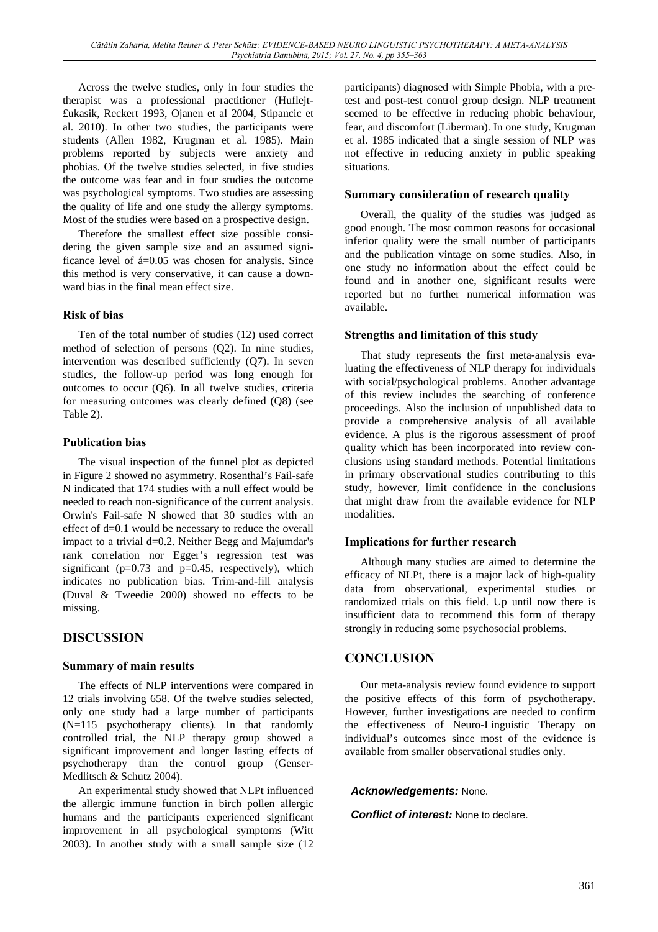Across the twelve studies, only in four studies the therapist was a professional practitioner (Huflejt- £ukasik, Reckert 1993, Ojanen et al 2004, Stipancic et al. 2010). In other two studies, the participants were students (Allen 1982, Krugman et al. 1985). Main problems reported by subjects were anxiety and phobias. Of the twelve studies selected, in five studies the outcome was fear and in four studies the outcome was psychological symptoms. Two studies are assessing the quality of life and one study the allergy symptoms. Most of the studies were based on a prospective design.

Therefore the smallest effect size possible considering the given sample size and an assumed significance level of á=0.05 was chosen for analysis. Since this method is very conservative, it can cause a downward bias in the final mean effect size.

### **Risk of bias**

Ten of the total number of studies (12) used correct method of selection of persons (Q2). In nine studies, intervention was described sufficiently (Q7). In seven studies, the follow-up period was long enough for outcomes to occur (Q6). In all twelve studies, criteria for measuring outcomes was clearly defined (Q8) (see Table 2).

### **Publication bias**

The visual inspection of the funnel plot as depicted in Figure 2 showed no asymmetry. Rosenthal's Fail-safe N indicated that 174 studies with a null effect would be needed to reach non-significance of the current analysis. Orwin's Fail-safe N showed that 30 studies with an effect of d=0.1 would be necessary to reduce the overall impact to a trivial d=0.2. Neither Begg and Majumdar's rank correlation nor Egger's regression test was significant ( $p=0.73$  and  $p=0.45$ , respectively), which indicates no publication bias. Trim-and-fill analysis (Duval & Tweedie 2000) showed no effects to be missing.

## **DISCUSSION**

### **Summary of main results**

The effects of NLP interventions were compared in 12 trials involving 658. Of the twelve studies selected, only one study had a large number of participants (N=115 psychotherapy clients). In that randomly controlled trial, the NLP therapy group showed a significant improvement and longer lasting effects of psychotherapy than the control group (Genser-Medlitsch & Schutz 2004).

An experimental study showed that NLPt influenced the allergic immune function in birch pollen allergic humans and the participants experienced significant improvement in all psychological symptoms (Witt 2003). In another study with a small sample size (12

participants) diagnosed with Simple Phobia, with a pretest and post-test control group design. NLP treatment seemed to be effective in reducing phobic behaviour, fear, and discomfort (Liberman). In one study, Krugman et al. 1985 indicated that a single session of NLP was not effective in reducing anxiety in public speaking situations.

### **Summary consideration of research quality**

Overall, the quality of the studies was judged as good enough. The most common reasons for occasional inferior quality were the small number of participants and the publication vintage on some studies. Also, in one study no information about the effect could be found and in another one, significant results were reported but no further numerical information was available.

### **Strengths and limitation of this study**

That study represents the first meta-analysis evaluating the effectiveness of NLP therapy for individuals with social/psychological problems. Another advantage of this review includes the searching of conference proceedings. Also the inclusion of unpublished data to provide a comprehensive analysis of all available evidence. A plus is the rigorous assessment of proof quality which has been incorporated into review conclusions using standard methods. Potential limitations in primary observational studies contributing to this study, however, limit confidence in the conclusions that might draw from the available evidence for NLP modalities.

### **Implications for further research**

Although many studies are aimed to determine the efficacy of NLPt, there is a major lack of high-quality data from observational, experimental studies or randomized trials on this field. Up until now there is insufficient data to recommend this form of therapy strongly in reducing some psychosocial problems.

## **CONCLUSION**

Our meta-analysis review found evidence to support the positive effects of this form of psychotherapy. However, further investigations are needed to confirm the effectiveness of Neuro-Linguistic Therapy on individual's outcomes since most of the evidence is available from smaller observational studies only.

### *Acknowledgements:* None.

### *Conflict of interest:* None to declare.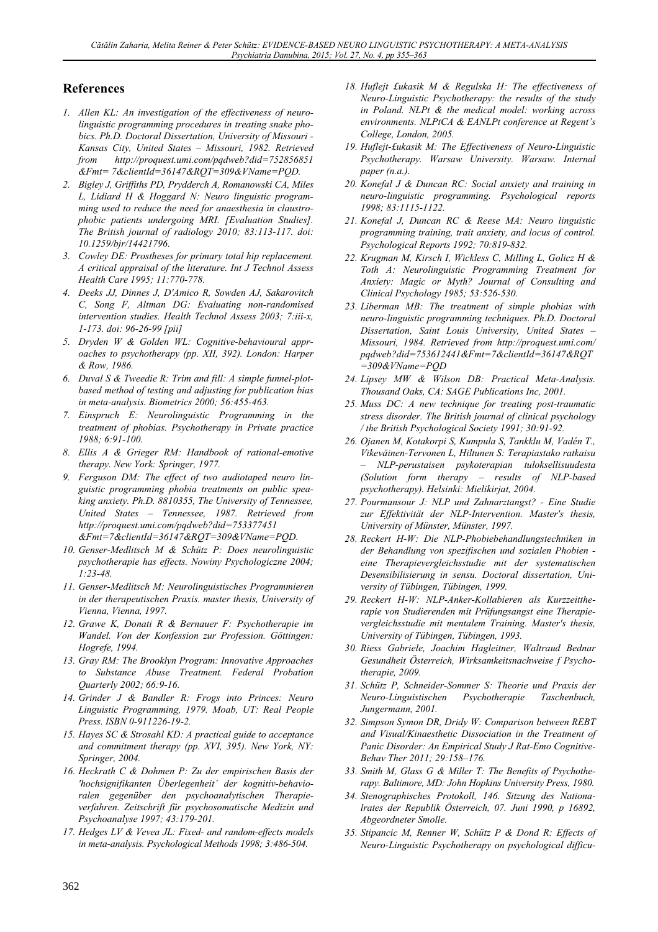### **References**

- 1. Allen KL: An investigation of the effectiveness of neurolinguistic programming procedures in treating snake phobics. Ph.D. Doctoral Dissertation, University of Missouri -Kansas City, United States - Missouri, 1982. Retrieved from http://proquest.umi.com/pqdweb?did=752856851 &Fmt=7&clientId=36147&RQT=309&VName=PQD.
- 2. Bigley J, Griffiths PD, Prydderch A, Romanowski CA, Miles L, Lidiard H & Hoggard N: Neuro linguistic programming used to reduce the need for anaesthesia in claustrophobic patients undergoing MRI. [Evaluation Studies]. The British journal of radiology 2010; 83:113-117. doi: 10.1259/bjr/14421796.
- 3. Cowley DE: Prostheses for primary total hip replacement. A critical appraisal of the literature. Int J Technol Assess Health Care 1995; 11:770-778.
- 4. Deeks JJ, Dinnes J, D'Amico R, Sowden AJ, Sakarovitch C, Song F, Altman DG: Evaluating non-randomised intervention studies. Health Technol Assess 2003; 7:iii-x, 1-173. doi: 96-26-99 [pii]
- 5. Dryden W & Golden WL: Cognitive-behavioural approaches to psychotherapy (pp. XII, 392). London: Harper & Row, 1986.
- 6. Duval S & Tweedie R: Trim and fill: A simple funnel-plotbased method of testing and adjusting for publication bias in meta-analysis. Biometrics 2000; 56:455-463.
- 7. Einspruch E: Neurolinguistic Programming in the treatment of phobias. Psychotherapy in Private practice 1988; 6:91-100.
- 8. Ellis A & Grieger RM: Handbook of rational-emotive therapy. New York: Springer, 1977.
- 9. Ferguson DM: The effect of two audiotaped neuro linguistic programming phobia treatments on public speaking anxiety. Ph.D. 8810355, The University of Tennessee, United States - Tennessee, 1987. Retrieved from http://proquest.umi.com/pqdweb?did=753377451 &Fmt=7&clientId=36147&RQT=309&VName=PQD.
- 10. Genser-Medlitsch M & Schütz P: Does neurolinguistic psychotherapie has effects. Nowiny Psychologiczne 2004;  $1:23-48$ .
- 11. Genser-Medlitsch M: Neurolinguistisches Programmieren in der therapeutischen Praxis. master thesis, University of Vienna, Vienna, 1997.
- 12. Grawe K, Donati R & Bernauer F: Psychotherapie im Wandel. Von der Konfession zur Profession. Göttingen: Hogrefe, 1994.
- 13. Gray RM: The Brooklyn Program: Innovative Approaches to Substance Abuse Treatment. Federal Probation Quarterly 2002; 66:9-16.
- 14. Grinder J & Bandler R: Frogs into Princes: Neuro Linguistic Programming, 1979. Moab, UT: Real People Press. ISBN 0-911226-19-2.
- 15. Hayes SC & Strosahl KD: A practical guide to acceptance and commitment therapy (pp. XVI, 395). New York, NY: Springer, 2004.
- 16. Heckrath C & Dohmen P: Zu der empirischen Basis der 'hochsignifikanten Überlegenheit' der kognitiv-behavioralen gegenüber den psychoanalytischen Therapieverfahren. Zeitschrift für psychosomatische Medizin und Psychoanalyse 1997; 43:179-201.
- 17. Hedges LV & Vevea JL: Fixed- and random-effects models in meta-analysis. Psychological Methods 1998; 3:486-504.
- 18. Huflejt £ukasik M & Regulska H: The effectiveness of Neuro-Linguistic Psychotherapy: the results of the study in Poland. NLPt & the medical model: working across environments. NLPtCA & EANLPt conference at Regent's College, London, 2005.
- 19. Huflejt-fukasik M: The Effectiveness of Neuro-Linguistic Psychotherapy. Warsaw University. Warsaw. Internal paper (n.a.).
- 20. Konefal J & Duncan RC: Social anxiety and training in neuro-linguistic programming. Psychological reports 1998; 83:1115-1122.
- 21. Konefal J, Duncan RC & Reese MA: Neuro linguistic programming training, trait anxiety, and locus of control. Psychological Reports 1992; 70:819-832.
- 22. Krugman M, Kirsch I, Wickless C, Milling L, Golicz H & Toth A: Neurolinguistic Programming Treatment for Anxiety: Magic or Myth? Journal of Consulting and Clinical Psychology 1985; 53:526-530.
- 23. Liberman MB: The treatment of simple phobias with neuro-linguistic programming techniques. Ph.D. Doctoral Dissertation, Saint Louis University, United States -Missouri, 1984. Retrieved from http://proquest.umi.com/ pqdweb?did=753612441&Fmt=7&clientId=36147&RQT  $=$ 309&VName=POD
- 24. Lipsey MW & Wilson DB: Practical Meta-Analysis. Thousand Oaks, CA: SAGE Publications Inc, 2001.
- 25. Muss DC: A new technique for treating post-traumatic stress disorder. The British journal of clinical psychology / the British Psychological Society 1991; 30:91-92.
- 26. Ojanen M, Kotakorpi S, Kumpula S, Tankklu M, Vadén T., Vikeväinen-Tervonen L, Hiltunen S: Terapiastako ratkaisu NLP-perustaisen psykoterapian tuloksellisuudesta (Solution form therapy - results of NLP-based psychotherapy). Helsinki: Mielikirjat, 2004.
- 27. Pourmansour J: NLP und Zahnarztangst? Eine Studie zur Effektivität der NLP-Intervention. Master's thesis, University of Münster, Münster, 1997.
- 28. Reckert H-W: Die NLP-Phobiebehandlungstechniken in der Behandlung von spezifischen und sozialen Phobien eine Therapievergleichsstudie mit der systematischen Desensibilisierung in sensu. Doctoral dissertation, University of Tübingen, Tübingen, 1999.
- 29. Reckert H-W: NLP-Anker-Kollabieren als Kurzzeittherapie von Studierenden mit Prüfungsangst eine Therapievergleichsstudie mit mentalem Training. Master's thesis, University of Tübingen, Tübingen, 1993.
- 30. Riess Gabriele, Joachim Hagleitner, Waltraud Bednar Gesundheit Österreich, Wirksamkeitsnachweise f Psychotherapie, 2009.
- 31. Schütz P, Schneider-Sommer S: Theorie und Praxis der Neuro-Linguistischen Psychotherapie Taschenbuch. Jungermann, 2001.
- 32. Simpson Symon DR, Dridy W: Comparison between REBT and Visual/Kinaesthetic Dissociation in the Treatment of Panic Disorder: An Empirical Study J Rat-Emo Cognitive-Behav Ther 2011; 29:158-176.
- 33. Smith M, Glass G & Miller T: The Benefits of Psychotherapy. Baltimore, MD: John Hopkins University Press, 1980.
- 34. Stenographisches Protokoll, 146. Sitzung des Nationalrates der Republik Österreich, 07. Juni 1990, p 16892, Abgeordneter Smolle.
- 35. Stipancic M, Renner W, Schütz P & Dond R: Effects of Neuro-Linguistic Psychotherapy on psychological difficu-